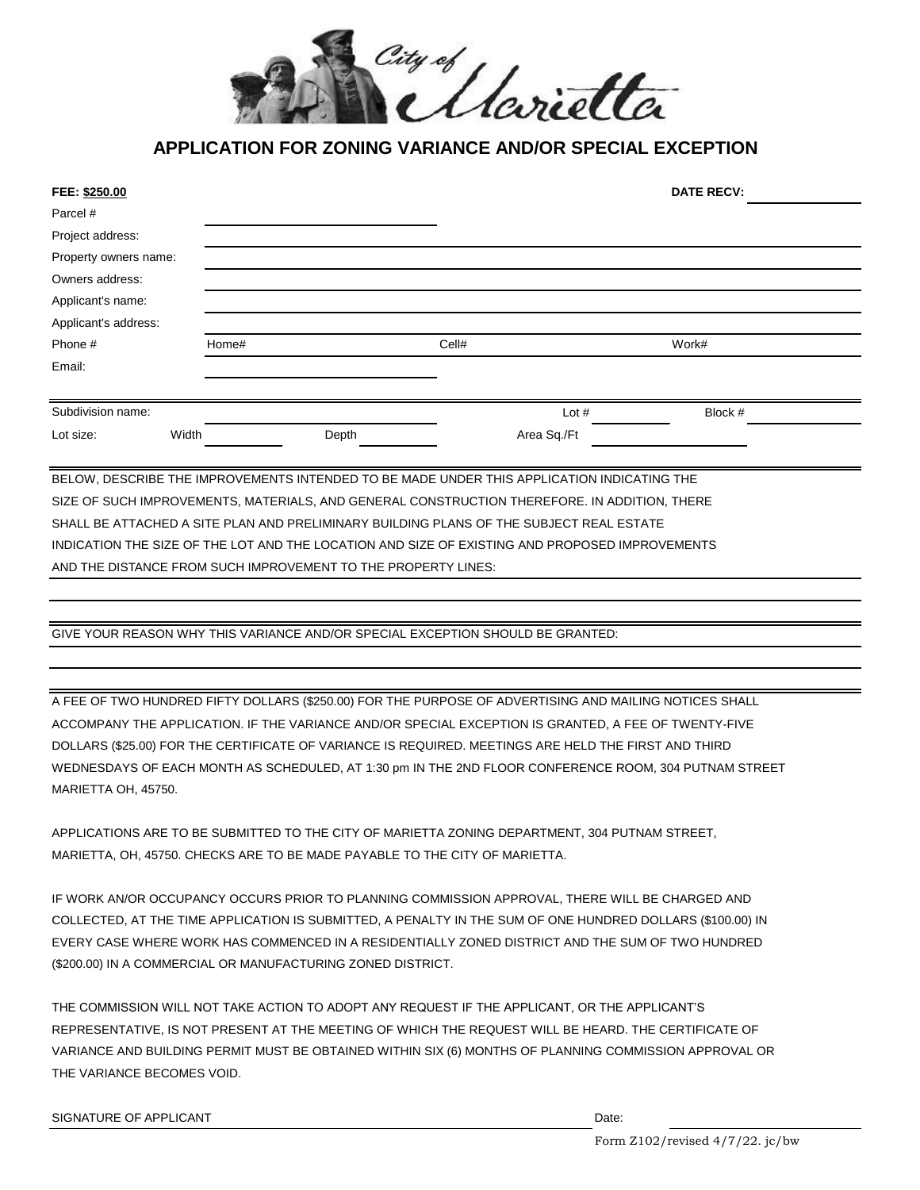

## **APPLICATION FOR ZONING VARIANCE AND/OR SPECIAL EXCEPTION**

| FEE: \$250.00                                                                              |       |       |       |       |             | <b>DATE RECV:</b> |  |
|--------------------------------------------------------------------------------------------|-------|-------|-------|-------|-------------|-------------------|--|
| Parcel #                                                                                   |       |       |       |       |             |                   |  |
| Project address:                                                                           |       |       |       |       |             |                   |  |
| Property owners name:                                                                      |       |       |       |       |             |                   |  |
| Owners address:                                                                            |       |       |       |       |             |                   |  |
| Applicant's name:                                                                          |       |       |       |       |             |                   |  |
| Applicant's address:                                                                       |       |       |       |       |             |                   |  |
| Phone #                                                                                    |       | Home# |       | Cell# |             | Work#             |  |
| Email:                                                                                     |       |       |       |       |             |                   |  |
|                                                                                            |       |       |       |       |             |                   |  |
| Subdivision name:                                                                          |       |       |       |       | Lot $#$     | Block #           |  |
| Lot size:                                                                                  | Width |       | Depth |       | Area Sq./Ft |                   |  |
|                                                                                            |       |       |       |       |             |                   |  |
| BELOW, DESCRIBE THE IMPROVEMENTS INTENDED TO BE MADE UNDER THIS APPLICATION INDICATING THE |       |       |       |       |             |                   |  |

SIZE OF SUCH IMPROVEMENTS, MATERIALS, AND GENERAL CONSTRUCTION THEREFORE. IN ADDITION, THERE SHALL BE ATTACHED A SITE PLAN AND PRELIMINARY BUILDING PLANS OF THE SUBJECT REAL ESTATE INDICATION THE SIZE OF THE LOT AND THE LOCATION AND SIZE OF EXISTING AND PROPOSED IMPROVEMENTS AND THE DISTANCE FROM SUCH IMPROVEMENT TO THE PROPERTY LINES:

GIVE YOUR REASON WHY THIS VARIANCE AND/OR SPECIAL EXCEPTION SHOULD BE GRANTED:

WEDNESDAYS OF EACH MONTH AS SCHEDULED, AT 1:30 pm IN THE 2ND FLOOR CONFERENCE ROOM, 304 PUTNAM STREET MARIETTA OH, 45750. A FEE OF TWO HUNDRED FIFTY DOLLARS (\$250.00) FOR THE PURPOSE OF ADVERTISING AND MAILING NOTICES SHALL ACCOMPANY THE APPLICATION. IF THE VARIANCE AND/OR SPECIAL EXCEPTION IS GRANTED, A FEE OF TWENTY-FIVE DOLLARS (\$25.00) FOR THE CERTIFICATE OF VARIANCE IS REQUIRED. MEETINGS ARE HELD THE FIRST AND THIRD

MARIETTA, OH, 45750. CHECKS ARE TO BE MADE PAYABLE TO THE CITY OF MARIETTA. APPLICATIONS ARE TO BE SUBMITTED TO THE CITY OF MARIETTA ZONING DEPARTMENT, 304 PUTNAM STREET,

EVERY CASE WHERE WORK HAS COMMENCED IN A RESIDENTIALLY ZONED DISTRICT AND THE SUM OF TWO HUNDRED IF WORK AN/OR OCCUPANCY OCCURS PRIOR TO PLANNING COMMISSION APPROVAL, THERE WILL BE CHARGED AND COLLECTED, AT THE TIME APPLICATION IS SUBMITTED, A PENALTY IN THE SUM OF ONE HUNDRED DOLLARS (\$100.00) IN (\$200.00) IN A COMMERCIAL OR MANUFACTURING ZONED DISTRICT.

THE COMMISSION WILL NOT TAKE ACTION TO ADOPT ANY REQUEST IF THE APPLICANT, OR THE APPLICANT'S REPRESENTATIVE, IS NOT PRESENT AT THE MEETING OF WHICH THE REQUEST WILL BE HEARD. THE CERTIFICATE OF VARIANCE AND BUILDING PERMIT MUST BE OBTAINED WITHIN SIX (6) MONTHS OF PLANNING COMMISSION APPROVAL OR THE VARIANCE BECOMES VOID.